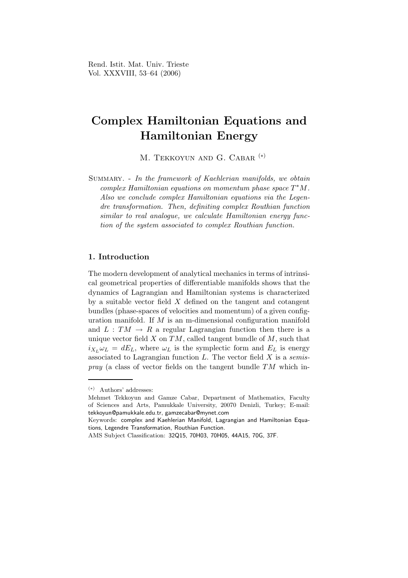# Complex Hamiltonian Equations and Hamiltonian Energy

M. TEKKOYUN AND G. CABAR<sup>(\*)</sup>

SUMMARY. - In the framework of Kaehlerian manifolds, we obtain  $complex Hamiltonian$  equations on momentum phase space  $T^*M$ . Also we conclude complex Hamiltonian equations via the Legendre transformation. Then, definiting complex Routhian function similar to real analogue, we calculate Hamiltonian energy function of the system associated to complex Routhian function.

## 1. Introduction

The modern development of analytical mechanics in terms of intrinsical geometrical properties of differentiable manifolds shows that the dynamics of Lagrangian and Hamiltonian systems is characterized by a suitable vector field X defined on the tangent and cotangent bundles (phase-spaces of velocities and momentum) of a given configuration manifold. If M is an m-dimensional configuration manifold and  $L: TM \rightarrow R$  a regular Lagrangian function then there is a unique vector field  $X$  on  $TM$ , called tangent bundle of  $M$ , such that  $i_{X_L} \omega_L = dE_L$ , where  $\omega_L$  is the symplectic form and  $E_L$  is energy associated to Lagrangian function  $L$ . The vector field  $X$  is a semis*pray* (a class of vector fields on the tangent bundle  $TM$  which in-

<sup>(</sup>∗) Authors' addresses:

Mehmet Tekkoyun and Gamze Cabar, Department of Mathematics, Faculty of Sciences and Arts, Pamukkale University, 20070 Denizli, Turkey; E-mail: tekkoyun@pamukkale.edu.tr, gamzecabar@mynet.com

Keywords: complex and Kaehlerian Manifold, Lagrangian and Hamiltonian Equations, Legendre Transformation, Routhian Function.

AMS Subject Classification: 32Q15, 70H03, 70H05, 44A15, 70G, 37F.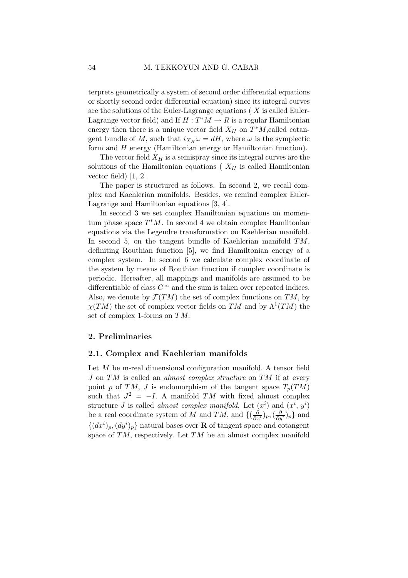terprets geometrically a system of second order differential equations or shortly second order differential equation) since its integral curves are the solutions of the Euler-Lagrange equations ( X is called Euler-Lagrange vector field) and If  $H: T^*M \to R$  is a regular Hamiltonian energy then there is a unique vector field  $X_H$  on  $T^*M$ , called cotangent bundle of M, such that  $i_{X_H} \omega = dH$ , where  $\omega$  is the symplectic form and H energy (Hamiltonian energy or Hamiltonian function).

The vector field  $X_H$  is a semispray since its integral curves are the solutions of the Hamiltonian equations ( $X_H$  is called Hamiltonian vector field) [1, 2].

The paper is structured as follows. In second 2, we recall complex and Kaehlerian manifolds. Besides, we remind complex Euler-Lagrange and Hamiltonian equations [3, 4].

In second 3 we set complex Hamiltonian equations on momentum phase space  $T^*M$ . In second 4 we obtain complex Hamiltonian equations via the Legendre transformation on Kaehlerian manifold. In second 5, on the tangent bundle of Kaehlerian manifold  $TM$ , definiting Routhian function [5], we find Hamiltonian energy of a complex system. In second 6 we calculate complex coordinate of the system by means of Routhian function if complex coordinate is periodic. Hereafter, all mappings and manifolds are assumed to be differentiable of class  $C^{\infty}$  and the sum is taken over repeated indices. Also, we denote by  $\mathcal{F}(TM)$  the set of complex functions on TM, by  $\chi(TM)$  the set of complex vector fields on TM and by  $\Lambda^1(TM)$  the set of complex 1-forms on TM.

### 2. Preliminaries

### 2.1. Complex and Kaehlerian manifolds

Let M be m-real dimensional configuration manifold. A tensor field J on TM is called an *almost complex structure* on TM if at every point p of TM, J is endomorphism of the tangent space  $T_p(TM)$ such that  $J^2 = -I$ . A manifold TM with fixed almost complex structure *J* is called *almost complex manifold*. Let  $(x^{i})$  and  $(x^{i}, y^{i})$ be a real coordinate system of M and TM, and  $\{(\frac{\partial}{\partial x^i})_p,(\frac{\partial}{\partial y^i})_p\}$  and  $\{(dx^i)_p,(dy^i)_p\}$ natural bases over **R** of tangent space and cotangent space of TM, respectively. Let TM be an almost complex manifold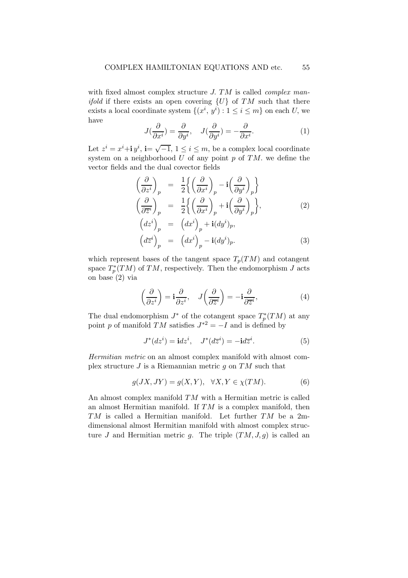with fixed almost complex structure J. TM is called *complex manifold* if there exists an open covering  $\{U\}$  of TM such that there exists a local coordinate system  $\{(x^i, y^i) : 1 \le i \le m\}$  on each U, we have

$$
J(\frac{\partial}{\partial x^i}) = \frac{\partial}{\partial y^i}, \quad J(\frac{\partial}{\partial y^i}) = -\frac{\partial}{\partial x^i}.
$$
 (1)

Let  $z^i = x^i + \mathbf{i} y^i$ ,  $\mathbf{i} = \sqrt{-1}$ ,  $1 \le i \le m$ , be a complex local coordinate system on a neighborhood  $U$  of any point  $p$  of  $TM$ . we define the vector fields and the dual covector fields

$$
\begin{aligned}\n\left(\frac{\partial}{\partial z^i}\right)_p &= \frac{1}{2} \left\{ \left(\frac{\partial}{\partial x^i}\right)_p - i \left(\frac{\partial}{\partial y^i}\right)_p \right\} \\
\left(\frac{\partial}{\partial \overline{z}^i}\right)_p &= \frac{1}{2} \left\{ \left(\frac{\partial}{\partial x^i}\right)_p + i \left(\frac{\partial}{\partial y^i}\right)_p \right\}, \\
\left(dz^i\right)_p &= \left(dx^i\right)_p + i(dy^i)_p,\n\end{aligned} \tag{2}
$$

$$
\left(d\overline{z}^i\right)_p = \left(dx^i\right)_p - \mathbf{i}(dy^i)_p. \tag{3}
$$

which represent bases of the tangent space  $T_p(TM)$  and cotangent space  $T_p^*$  $p_p^*(TM)$  of  $TM$ , respectively. Then the endomorphism J acts on base (2) via

$$
\left(\frac{\partial}{\partial z^i}\right) = \mathbf{i}\frac{\partial}{\partial z^i}, \quad J\left(\frac{\partial}{\partial \overline{z}^i}\right) = -\mathbf{i}\frac{\partial}{\partial \overline{z}^i},\tag{4}
$$

The dual endomorphism  $J^*$  of the cotangent space  $T_p^*$  $p^*(TM)$  at any point p of manifold TM satisfies  $J^{*2} = -I$  and is defined by

$$
J^*(dz^i) = \mathbf{i} dz^i, \quad J^*(d\overline{z}^i) = -\mathbf{i} d\overline{z}^i.
$$
 (5)

Hermitian metric on an almost complex manifold with almost complex structure  $J$  is a Riemannian metric  $g$  on  $TM$  such that

$$
g(JX, JY) = g(X, Y), \quad \forall X, Y \in \chi(TM). \tag{6}
$$

An almost complex manifold TM with a Hermitian metric is called an almost Hermitian manifold. If TM is a complex manifold, then  $TM$  is called a Hermitian manifold. Let further  $TM$  be a 2mdimensional almost Hermitian manifold with almost complex structure J and Hermitian metric g. The triple  $(TM, J, g)$  is called an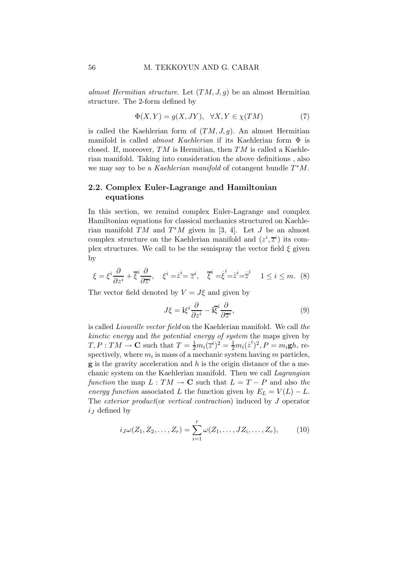almost Hermitian structure. Let  $(TM, J, g)$  be an almost Hermitian structure. The 2-form defined by

$$
\Phi(X,Y) = g(X,JY), \quad \forall X, Y \in \chi(TM) \tag{7}
$$

is called the Kaehlerian form of  $(TM, J, g)$ . An almost Hermitian manifold is called *almost Kaehlerian* if its Kaehlerian form  $\Phi$  is closed. If, moreover,  $TM$  is Hermitian, then  $TM$  is called a Kaehlerian manifold. Taking into consideration the above definitions , also we may say to be a Kaehlerian manifold of cotangent bundle  $T^*M$ .

## 2.2. Complex Euler-Lagrange and Hamiltonian equations

In this section, we remind complex Euler-Lagrange and complex Hamiltonian equations for classical mechanics structured on Kaehlerian manifold  $\overline{T}M$  and  $T^*M$  given in [3, 4]. Let J be an almost complex structure on the Kaehlerian manifold and  $(z^i, \overline{z}^i)$  its complex structures. We call to be the semispray the vector field  $\xi$  given by

$$
\xi = \xi^i \frac{\partial}{\partial z^i} + \overline{\xi}^i \frac{\partial}{\partial \overline{z}^i}, \quad \xi^i = \dot{z}^i = \overline{z}^i, \quad \overline{\xi}^i = \dot{\xi}^i = \dot{z}^i = \dot{\overline{z}}^i \quad 1 \le i \le m. \tag{8}
$$

The vector field denoted by  $V = J\xi$  and given by

$$
J\xi = \mathbf{i}\xi^i \frac{\partial}{\partial z^i} - \mathbf{i}\overline{\xi}^i \frac{\partial}{\partial \overline{z}^i},\tag{9}
$$

is called Liouville vector field on the Kaehlerian manifold. We call the kinetic energy and the potential energy of system the maps given by  $T, P: TM \to \mathbf{C}$  such that  $T = \frac{1}{2} m_i (\bar{z}^i)^2 = \frac{1}{2} m_i (\bar{z}^i)^2, P = m_i \mathbf{g} h$ , respectively, where  $m_i$  is mass of a mechanic system having m particles,  $\bf{g}$  is the gravity acceleration and  $h$  is the origin distance of the a mechanic system on the Kaehlerian manifold. Then we call Lagrangian function the map  $L: TM \to \mathbf{C}$  such that  $L = T - P$  and also the energy function associated L the function given by  $E_L = V(L) - L$ . The exterior product(or vertical contraction) induced by J operator  $i_J$  defined by

$$
i_J\omega(Z_1, Z_2, \dots, Z_r) = \sum_{i=1}^r \omega(Z_1, \dots, JZ_i, \dots, Z_r),
$$
 (10)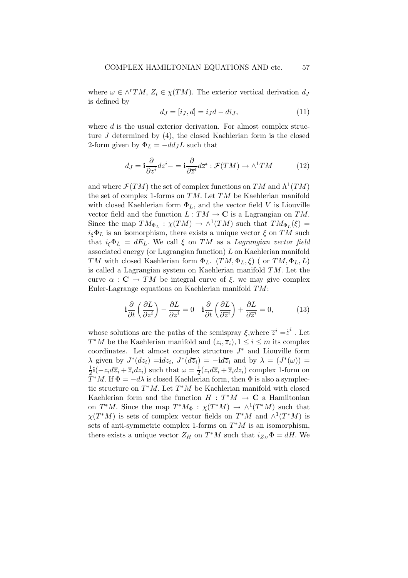where  $\omega \in \wedge^r TM$ ,  $Z_i \in \chi(TM)$ . The exterior vertical derivation  $d_J$ is defined by

$$
dJ = [iJ, d] = iJd - diJ,
$$
\n(11)

where  $d$  is the usual exterior derivation. For almost complex structure J determined by (4), the closed Kaehlerian form is the closed 2-form given by  $\Phi_L = -dd_JL$  such that

$$
d_J = \mathbf{i}\frac{\partial}{\partial z^i} dz^i - \mathbf{i}\frac{\partial}{\partial \overline{z}^i} d\overline{z}^i : \mathcal{F}(TM) \to \wedge^1 TM \tag{12}
$$

and where  $\mathcal{F}(TM)$  the set of complex functions on  $TM$  and  $\Lambda^1(TM)$ the set of complex 1-forms on  $TM$ . Let  $TM$  be Kaehlerian manifold with closed Kaehlerian form  $\Phi_L$ , and the vector field V is Liouville vector field and the function  $L: TM \to \mathbf{C}$  is a Lagrangian on TM. Since the map  $TM_{\Phi_L} : \chi(TM) \to \wedge^1(TM)$  such that  $TM_{\Phi_L}(\xi) =$  $i_{\xi} \Phi_L$  is an isomorphism, there exists a unique vector  $\xi$  on TM such that  $i_{\xi} \Phi_L = dE_L$ . We call  $\xi$  on TM as a Lagrangian vector field associated energy (or Lagrangian function) L on Kaehlerian manifold TM with closed Kaehlerian form  $\Phi_L$ . (TM,  $\Phi_L$ ,  $\xi$ ) (or TM,  $\Phi_L$ , L) is called a Lagrangian system on Kaehlerian manifold TM. Let the curve  $\alpha$ :  $\mathbf{C} \to TM$  be integral curve of  $\xi$ , we may give complex Euler-Lagrange equations on Kaehlerian manifold TM:

$$
\mathbf{i}\frac{\partial}{\partial t}\left(\frac{\partial L}{\partial z^i}\right) - \frac{\partial L}{\partial z^i} = 0 \quad \mathbf{i}\frac{\partial}{\partial t}\left(\frac{\partial L}{\partial \overline{z}^i}\right) + \frac{\partial L}{\partial \overline{z}^i} = 0,\tag{13}
$$

whose solutions are the paths of the semispray  $\xi$ ,<br>where  $\overline{z}^i = \stackrel{\cdot}{z}^i$ . Let  $T^*M$  be the Kaehlerian manifold and  $(z_i, \overline{z}_i), 1 \le i \le m$  its complex coordinates. Let almost complex structure  $J^*$  and Liouville form  $\lambda$  given by  $J^*(dz_i) = idz_i$ ,  $J^*(d\overline{z}_i) = -id\overline{z}_i$  and by  $\lambda = (J^*(\omega)) =$ 1  $\frac{1}{2}$ **i**( $-z_i d\overline{z}_i + \overline{z}_i dz_i$ ) such that  $\omega = \frac{1}{2}$  $\frac{1}{2}(z_i d\overline{z}_i + \overline{z}_i dz_i)$  complex 1-form on  $T^*M$ . If  $\Phi = -d\lambda$  is closed Kaehlerian form, then  $\Phi$  is also a symplectic structure on  $T^*M$ . Let  $T^*M$  be Kaehlerian manifold with closed Kaehlerian form and the function  $H : T^*M \to \mathbb{C}$  a Hamiltonian on  $T^*M$ . Since the map  $T^*M_{\Phi}$ :  $\chi(T^*M) \to \wedge^1(T^*M)$  such that  $\chi(T^*M)$  is sets of complex vector fields on  $T^*M$  and  $\wedge^1(T^*M)$  is sets of anti-symmetric complex 1-forms on  $T^*M$  is an isomorphism, there exists a unique vector  $Z_H$  on  $T^*M$  such that  $i_{Z_H} \Phi = dH$ . We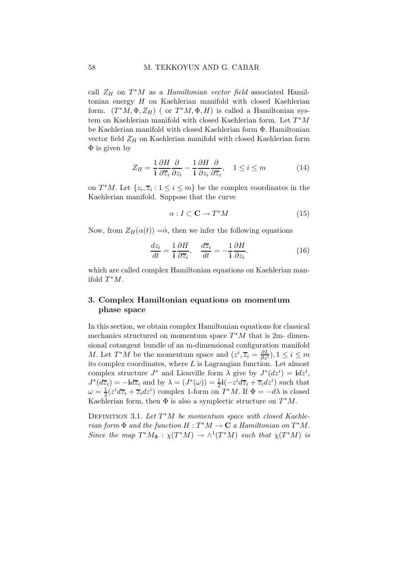#### 58 M. TEKKOYUN AND G. CABAR

call  $Z_H$  on  $T^*M$  as a *Hamiltonian vector field* associated Hamiltonian energy H on Kaehlerian manifold with closed Kaehlerian form.  $(T^*M, \Phi, Z_H)$  ( or  $T^*M, \Phi, H$ ) is called a Hamiltonian system on Kaehlerian manifold with closed Kaehlerian form. Let  $T^*M$ be Kaehlerian manifold with closed Kaehlerian form Φ. Hamiltonian vector field  $Z_H$  on Kaehlerian manifold with closed Kaehlerian form  $\Phi$  is given by

$$
Z_H = \frac{1}{\mathbf{i}} \frac{\partial H}{\partial \overline{z}_i} \frac{\partial}{\partial z_i} - \frac{1}{\mathbf{i}} \frac{\partial H}{\partial z_i} \frac{\partial}{\partial \overline{z}_i}, \quad 1 \le i \le m \tag{14}
$$

on  $T^*M$ . Let  $\{z_i, \overline{z}_i : 1 \leq i \leq m\}$  be the complex coordinates in the Kaehlerian manifold. Suppose that the curve

$$
\alpha: I \subset \mathbf{C} \to T^*M \tag{15}
$$

Now, from  $Z_H(\alpha(t)) = \dot{\alpha}$ , then we infer the following equations

$$
\frac{dz_i}{dt} = \frac{1}{\mathbf{i}} \frac{\partial H}{\partial \overline{z}_i}, \quad \frac{d\overline{z}_i}{dt} = -\frac{1}{\mathbf{i}} \frac{\partial H}{\partial z_i}.
$$
 (16)

which are called complex Hamiltonian equations on Kaehlerian manifold  $T^*M$ .

# 3. Complex Hamiltonian equations on momentum phase space

In this section, we obtain complex Hamiltonian equations for classical mechanics structured on momentum space  $T^*M$  that is 2m-dimensional cotangent bundle of an m-dimensional configuration manifold *M*. Let  $T^*M$  be the momentum space and  $(z^i, \overline{z}_i = \frac{\partial L}{\partial z^i}), 1 \le i \le m$ its complex coordinates, where  $L$  is Lagrangian function. Let almost complex structure  $J^*$  and Liouville form  $\lambda$  give by  $J^*(dz^i) = idz^i$ ,  $J^*(d\overline{z}_i) = -\mathbf{i}d\overline{z}_i$  and by  $\lambda = (J^*(\omega)) = \frac{1}{2}\mathbf{i}(-z^id\overline{z}_i + \overline{z}_i dz^i)$  such that  $\omega = \frac{1}{2}$  $\frac{1}{2}(z^i d\overline{z}_i + \overline{z}_i dz^i)$  complex 1-form on  $T^*M$ . If  $\Phi = -d\lambda$  is closed Kaehlerian form, then  $\Phi$  is also a symplectic structure on  $T^*M$ .

DEFINITION 3.1. Let  $T^*M$  be momentum space with closed Kaehlerian form  $\Phi$  and the function  $H: T^*M \to \mathbf{C}$  a Hamiltonian on  $T^*M$ . Since the map  $T^*M_{\Phi}: \chi(T^*M) \to \wedge^1(T^*M)$  such that  $\chi(T^*M)$  is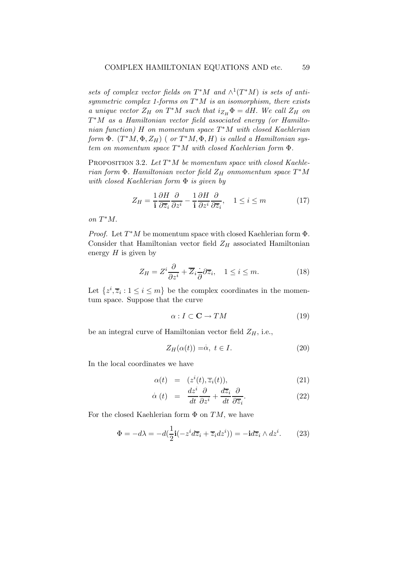sets of complex vector fields on  $T^*M$  and  $\wedge^1(T^*M)$  is sets of antisymmetric complex 1-forms on  $T^*M$  is an isomorphism, there exists a unique vector  $Z_H$  on  $T^*M$  such that  $i_{Z_H} \Phi = dH$ . We call  $Z_H$  on  $T^*M$  as a Hamiltonian vector field associated energy (or Hamiltonian function) H on momentum space  $T^*M$  with closed Kaehlerian form  $\Phi$ .  $(T^*M, \Phi, Z_H)$  ( or  $T^*M, \bar{\Phi}, H$ ) is called a Hamiltonian sys $t$ em on momentum space  $T^*M$  with closed Kaehlerian form  $\Phi$ .

PROPOSITION 3.2. Let  $T^*M$  be momentum space with closed Kaehle $rian\ \Phi.$  Hamiltonian vector field  $Z_H$  onmomentum space  $T^*M$ with closed Kaehlerian form Φ is given by

$$
Z_H = \frac{1}{\mathbf{i}} \frac{\partial H}{\partial \overline{z}_i} \frac{\partial}{\partial z^i} - \frac{1}{\mathbf{i}} \frac{\partial H}{\partial z^i} \frac{\partial}{\partial \overline{z}_i}, \quad 1 \le i \le m \tag{17}
$$

on  $T^*M$ .

*Proof.* Let  $T^*M$  be momentum space with closed Kaehlerian form  $\Phi$ . Consider that Hamiltonian vector field  $Z_H$  associated Hamiltonian energy  $H$  is given by

$$
Z_H = Z^i \frac{\partial}{\partial z^i} + \overline{Z}_i \frac{\partial}{\partial z^i}, \quad 1 \le i \le m. \tag{18}
$$

Let  $\{z^i, \overline{z}_i : 1 \leq i \leq m\}$  be the complex coordinates in the momentum space. Suppose that the curve

$$
\alpha: I \subset \mathbf{C} \to TM \tag{19}
$$

be an integral curve of Hamiltonian vector field  $Z_H$ , i.e.,

$$
Z_H(\alpha(t)) = \alpha, \ t \in I. \tag{20}
$$

In the local coordinates we have

$$
\alpha(t) = (z^i(t), \overline{z}_i(t)), \qquad (21)
$$

$$
\dot{\alpha}(t) = \frac{dz^i}{dt} \frac{\partial}{\partial z^i} + \frac{d\overline{z}_i}{dt} \frac{\partial}{\partial \overline{z}_i}.
$$
 (22)

For the closed Kaehlerian form  $\Phi$  on  $TM$ , we have

$$
\Phi = -d\lambda = -d(\frac{1}{2}\mathbf{i}(-z^i d\overline{z}_i + \overline{z}_i dz^i)) = -\mathbf{i}d\overline{z}_i \wedge dz^i.
$$
 (23)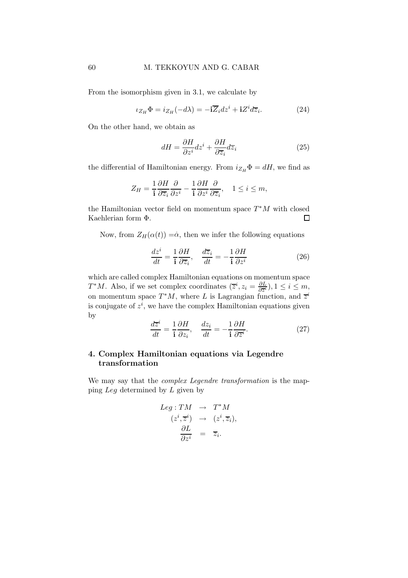From the isomorphism given in 3.1, we calculate by

$$
\iota_{Z_H} \Phi = i_{Z_H}(-d\lambda) = -\mathbf{i}\overline{Z}_i dz^i + \mathbf{i}Z^i d\overline{z}_i.
$$
 (24)

On the other hand, we obtain as

$$
dH = \frac{\partial H}{\partial z^i} dz^i + \frac{\partial H}{\partial \overline{z}_i} d\overline{z}_i
$$
 (25)

the differential of Hamiltonian energy. From  $i_{Z_H} \Phi = dH$ , we find as

$$
Z_H = \frac{1}{\mathbf{i}} \frac{\partial H}{\partial \overline{z}_i} \frac{\partial}{\partial z^i} - \frac{1}{\mathbf{i}} \frac{\partial H}{\partial z^i} \frac{\partial}{\partial \overline{z}_i}, \quad 1 \leq i \leq m,
$$

the Hamiltonian vector field on momentum space  $T^*M$  with closed Kaehlerian form Φ.  $\Box$ 

Now, from  $Z_H(\alpha(t)) = \dot{\alpha}$ , then we infer the following equations

$$
\frac{dz^i}{dt} = \frac{1}{\mathbf{i}} \frac{\partial H}{\partial \overline{z}_i}, \quad \frac{d\overline{z}_i}{dt} = -\frac{1}{\mathbf{i}} \frac{\partial H}{\partial z^i}
$$
(26)

which are called complex Hamiltonian equations on momentum space  $T^*M$ . Also, if we set complex coordinates  $(\overline{z}^i, z_i) = \frac{\partial L}{\partial \overline{z^i}}$  $\frac{\partial L}{\partial \overline{z}^i}$ ),  $1 \leq i \leq m$ , on momentum space  $T^*M$ , where L is Lagrangian function, and  $\overline{z}^i$ is conjugate of  $z^i$ , we have the complex Hamiltonian equations given by

$$
\frac{d\overline{z}^i}{dt} = \frac{1}{\mathbf{i}} \frac{\partial H}{\partial z_i}, \quad \frac{dz_i}{dt} = -\frac{1}{\mathbf{i}} \frac{\partial H}{\partial \overline{z}^i}.
$$
 (27)

# 4. Complex Hamiltonian equations via Legendre transformation

We may say that the *complex Legendre transformation* is the mapping Leg determined by L given by

$$
Leg: TM \rightarrow T^*M
$$
  
\n
$$
(z^i, \overline{z}^i) \rightarrow (z^i, \overline{z}_i),
$$
  
\n
$$
\frac{\partial L}{\partial z^i} = \overline{z}_i.
$$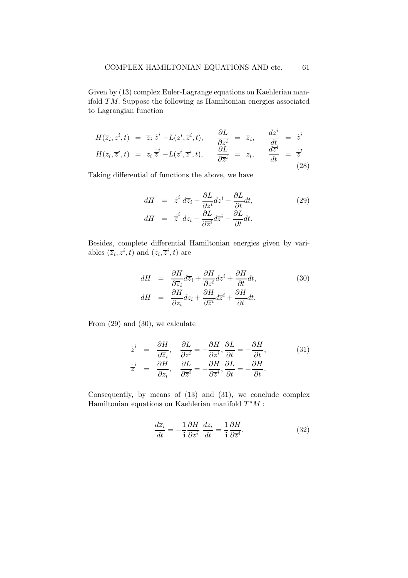Given by (13) complex Euler-Lagrange equations on Kaehlerian manifold TM. Suppose the following as Hamiltonian energies associated to Lagrangian function

$$
H(\overline{z}_i, z^i, t) = \overline{z}_i \dot{z}^i - L(z^i, \overline{z}^i, t), \qquad \frac{\partial L}{\partial z^i} = \overline{z}_i, \qquad \frac{dz^i}{dt} = \dot{z}^i
$$
  

$$
H(z_i, \overline{z}^i, t) = z_i \dot{z}^i - L(z^i, \overline{z}^i, t), \qquad \frac{\partial L}{\partial \overline{z}^i} = z_i, \qquad \frac{dz^i}{dt} = \dot{z}^i
$$
(28)

Taking differential of functions the above, we have

$$
dH = \dot{z}^i d\overline{z}_i - \frac{\partial L}{\partial z^i} dz^i - \frac{\partial L}{\partial t} dt,
$$
  
\n
$$
dH = \dot{\overline{z}}^i dz_i - \frac{\partial L}{\partial \overline{z}^i} d\overline{z}^i - \frac{\partial L}{\partial t} dt.
$$
\n(29)

Besides, complete differential Hamiltonian energies given by variables  $(\overline{z}_i, z^i, t)$  and  $(z_i, \overline{z}^i, t)$  are

$$
dH = \frac{\partial H}{\partial \overline{z}_i} d\overline{z}_i + \frac{\partial H}{\partial z^i} dz^i + \frac{\partial H}{\partial t} dt,
$$
\n
$$
dH = \frac{\partial H}{\partial z_i} dz_i + \frac{\partial H}{\partial \overline{z}^i} d\overline{z}^i + \frac{\partial H}{\partial t} dt.
$$
\n(30)

From (29) and (30), we calculate

$$
\dot{z}^{i} = \frac{\partial H}{\partial \overline{z}_{i}}, \quad \frac{\partial L}{\partial z^{i}} = -\frac{\partial H}{\partial z^{i}}, \frac{\partial L}{\partial t} = -\frac{\partial H}{\partial t}, \n\dot{\overline{z}}^{i} = \frac{\partial H}{\partial z_{i}}, \quad \frac{\partial L}{\partial \overline{z}^{i}} = -\frac{\partial H}{\partial \overline{z}^{i}}, \frac{\partial L}{\partial t} = -\frac{\partial H}{\partial t}.
$$
\n(31)

Consequently, by means of (13) and (31), we conclude complex Hamiltonian equations on Kaehlerian manifold  $T^*M$ :

$$
\frac{d\overline{z}_i}{dt} = -\frac{1}{\mathbf{i}} \frac{\partial H}{\partial z^i} \frac{dz_i}{dt} = \frac{1}{\mathbf{i}} \frac{\partial H}{\partial \overline{z}^i}.
$$
 (32)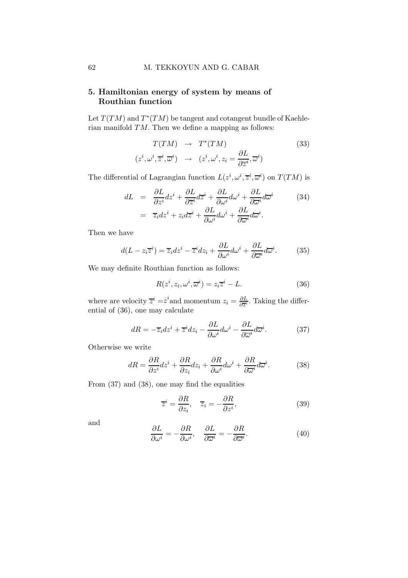## 62 M. TEKKOYUN AND G. CABAR

# 5. Hamiltonian energy of system by means of Routhian function

Let  $T(TM)$  and  $T^*(TM)$  be tangent and cotangent bundle of Kaehlerian manifold TM. Then we define a mapping as follows:

$$
T(TM) \rightarrow T^*(TM)
$$
\n
$$
(z^i, \omega^i, \overline{z}^i, \overline{\omega}^i) \rightarrow (z^i, \omega^i, z_i = \frac{\partial L}{\partial \overline{z}^i}, \overline{\omega}^i)
$$
\n
$$
(33)
$$

The differential of Lagrangian function  $L(z^i, \omega^i, \overline{z}^i, \overline{\omega}^i)$  on  $T(TM)$  is

$$
dL = \frac{\partial L}{\partial z^i} dz^i + \frac{\partial L}{\partial \overline{z}^i} d\overline{z}^i + \frac{\partial L}{\partial \omega^i} d\omega^i + \frac{\partial L}{\partial \overline{\omega}^i} d\overline{\omega}^i
$$
\n
$$
= \overline{z}_i dz^i + z_i d\overline{z}^i + \frac{\partial L}{\partial \omega^i} d\omega^i + \frac{\partial L}{\partial \overline{\omega}^i} d\overline{\omega}^i.
$$
\n(34)

Then we have

$$
d(L - z_i \overline{z}^i) = \overline{z}_i dz^i - \overline{z}^i dz_i + \frac{\partial L}{\partial \omega^i} d\omega^i + \frac{\partial L}{\partial \overline{\omega}^i} d\overline{\omega}^i.
$$
 (35)

We may definite Routhian function as follows:

$$
R(z^i, z_i, \omega^i, \overline{\omega}^i) = z_i \overline{z}^i - L.
$$
 (36)

where are velocity  $\overline{z}^i = \dot{z}^i$  and momentum  $z_i = \frac{\partial L}{\partial \overline{z}^i}$  $\frac{\partial L}{\partial \overline{z}^i}$ . Taking the differential of (36), one may calculate

$$
dR = -\overline{z}_i dz^i + \overline{z}^i dz_i - \frac{\partial L}{\partial \omega^i} d\omega^i - \frac{\partial L}{\partial \overline{\omega}^i} d\overline{\omega}^i.
$$
 (37)

Otherwise we write

$$
dR = \frac{\partial R}{\partial z^i} dz^i + \frac{\partial R}{\partial z_i} dz_i + \frac{\partial R}{\partial \omega^i} d\omega^i + \frac{\partial R}{\partial \overline{\omega}^i} d\overline{\omega}^i.
$$
 (38)

From (37) and (38), one may find the equalities

$$
\overline{z}^i = \frac{\partial R}{\partial z_i}, \quad \overline{z}_i = -\frac{\partial R}{\partial z^i},\tag{39}
$$

and

$$
\frac{\partial L}{\partial \omega^i} = -\frac{\partial R}{\partial \omega^i}, \quad \frac{\partial L}{\partial \overline{\omega}^i} = -\frac{\partial R}{\partial \overline{\omega}^i}.
$$
 (40)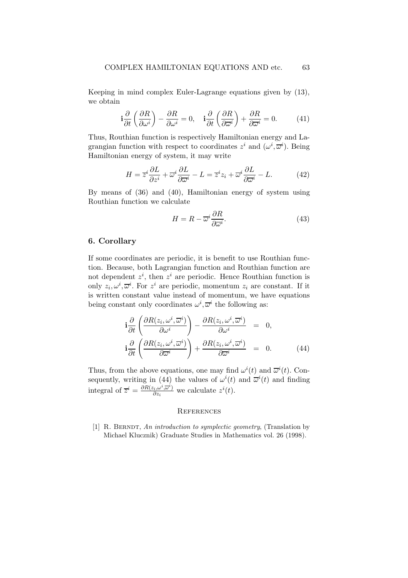Keeping in mind complex Euler-Lagrange equations given by (13), we obtain

$$
\mathbf{i}\frac{\partial}{\partial t}\left(\frac{\partial R}{\partial \omega^i}\right) - \frac{\partial R}{\partial \omega^i} = 0, \quad \mathbf{i}\frac{\partial}{\partial t}\left(\frac{\partial R}{\partial \overline{\omega}^i}\right) + \frac{\partial R}{\partial \overline{\omega}^i} = 0. \tag{41}
$$

Thus, Routhian function is respectively Hamiltonian energy and Lagrangian function with respect to coordinates  $z^i$  and  $(\omega^i, \overline{\omega}^i)$ . Being Hamiltonian energy of system, it may write

$$
H = \overline{z}^i \frac{\partial L}{\partial z^i} + \overline{\omega}^i \frac{\partial L}{\partial \overline{\omega}^i} - L = \overline{z}^i z_i + \overline{\omega}^i \frac{\partial L}{\partial \overline{\omega}^i} - L.
$$
 (42)

By means of (36) and (40), Hamiltonian energy of system using Routhian function we calculate

$$
H = R - \overline{\omega}^i \frac{\partial R}{\partial \overline{\omega}^i}.
$$
 (43)

#### 6. Corollary

If some coordinates are periodic, it is benefit to use Routhian function. Because, both Lagrangian function and Routhian function are not dependent  $z^i$ , then  $z^i$  are periodic. Hence Routhian function is only  $z_i, \omega^i, \overline{\omega}^i$ . For  $z^i$  are periodic, momentum  $z_i$  are constant. If it is written constant value instead of momentum, we have equations being constant only coordinates  $\omega^i, \overline{\omega}^i$  the following as:

$$
\mathbf{i}\frac{\partial}{\partial t}\left(\frac{\partial R(z_i,\omega^i,\overline{\omega}^i)}{\partial \omega^i}\right) - \frac{\partial R(z_i,\omega^i,\overline{\omega}^i)}{\partial \omega^i} = 0, \n\mathbf{i}\frac{\partial}{\partial t}\left(\frac{\partial R(z_i,\omega^i,\overline{\omega}^i)}{\partial \overline{\omega}^i}\right) + \frac{\partial R(z_i,\omega^i,\overline{\omega}^i)}{\partial \overline{\omega}^i} = 0.
$$
\n(44)

Thus, from the above equations, one may find  $\omega^{i}(t)$  and  $\overline{\omega}^{i}(t)$ . Consequently, writing in (44) the values of  $\omega^{i}(t)$  and  $\overline{\omega}^{i}(t)$  and finding integral of  $\overline{z}^i = \frac{\partial R(z_i,\omega^i,\overline{\omega}^i)}{\partial z_i}$  $\frac{\partial \langle i, \omega^i, \overline{\omega}^i \rangle}{\partial z_i}$  we calculate  $z^i(t)$ .

#### **REFERENCES**

[1] R. BERNDT, An introduction to symplectic geometry, (Translation by Michael Klucznik) Graduate Studies in Mathematics vol. 26 (1998).